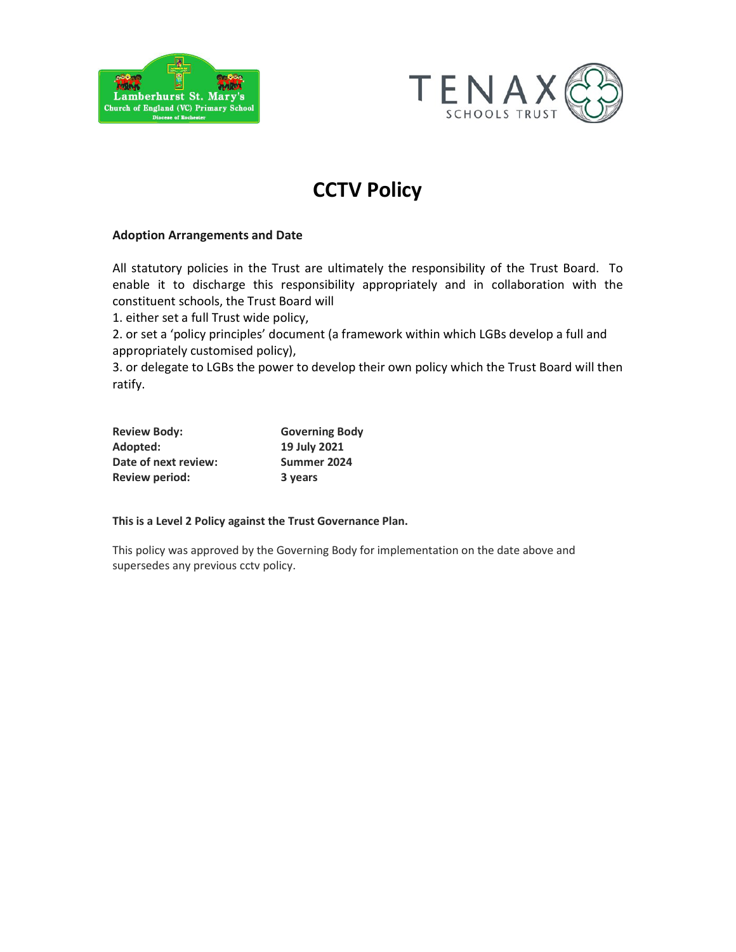



# **CCTV Policy**

# Adoption Arrangements and Date

All statutory policies in the Trust are ultimately the responsibility of the Trust Board. To enable it to discharge this responsibility appropriately and in collaboration with the constituent schools, the Trust Board will

1. either set a full Trust wide policy,

2. or set a 'policy principles' document (a framework within which LGBs develop a full and appropriately customised policy),

3. or delegate to LGBs the power to develop their own policy which the Trust Board will then ratify.

| <b>Review Body:</b>   | <b>Governing Body</b> |
|-----------------------|-----------------------|
| Adopted:              | 19 July 2021          |
| Date of next review:  | Summer 2024           |
| <b>Review period:</b> | 3 years               |

# This is a Level 2 Policy against the Trust Governance Plan.

This policy was approved by the Governing Body for implementation on the date above and supersedes any previous cctv policy.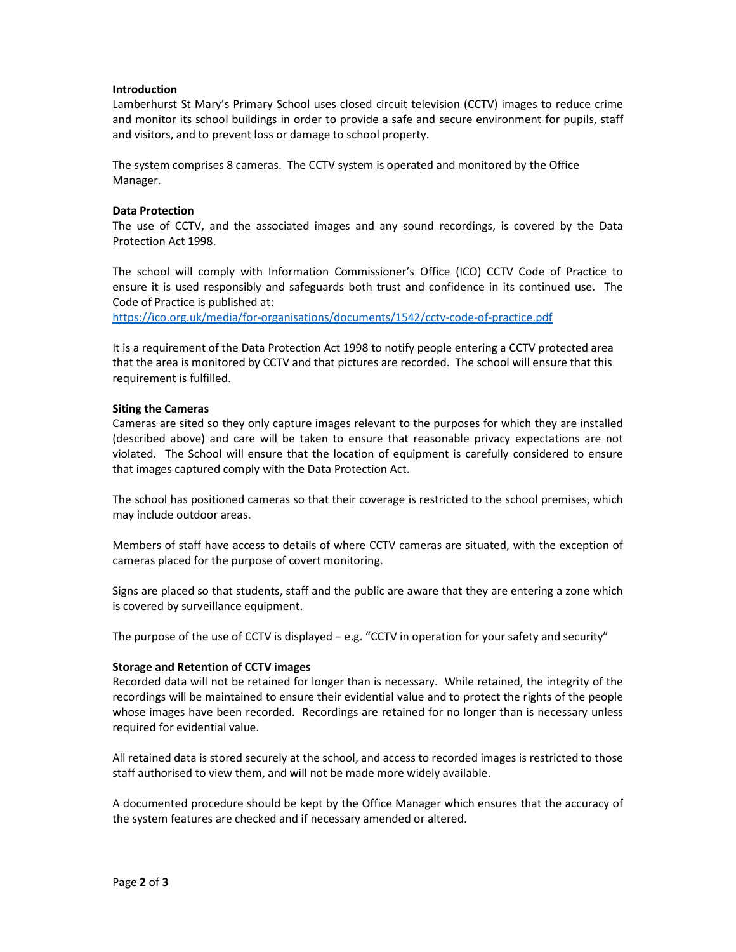### **Introduction**

Lamberhurst St Mary's Primary School uses closed circuit television (CCTV) images to reduce crime and monitor its school buildings in order to provide a safe and secure environment for pupils, staff and visitors, and to prevent loss or damage to school property.

The system comprises 8 cameras. The CCTV system is operated and monitored by the Office Manager.

#### Data Protection

The use of CCTV, and the associated images and any sound recordings, is covered by the Data Protection Act 1998.

The school will comply with Information Commissioner's Office (ICO) CCTV Code of Practice to ensure it is used responsibly and safeguards both trust and confidence in its continued use. The Code of Practice is published at:

https://ico.org.uk/media/for-organisations/documents/1542/cctv-code-of-practice.pdf

It is a requirement of the Data Protection Act 1998 to notify people entering a CCTV protected area that the area is monitored by CCTV and that pictures are recorded. The school will ensure that this requirement is fulfilled.

#### Siting the Cameras

Cameras are sited so they only capture images relevant to the purposes for which they are installed (described above) and care will be taken to ensure that reasonable privacy expectations are not violated. The School will ensure that the location of equipment is carefully considered to ensure that images captured comply with the Data Protection Act.

The school has positioned cameras so that their coverage is restricted to the school premises, which may include outdoor areas.

Members of staff have access to details of where CCTV cameras are situated, with the exception of cameras placed for the purpose of covert monitoring.

Signs are placed so that students, staff and the public are aware that they are entering a zone which is covered by surveillance equipment.

The purpose of the use of CCTV is displayed  $-e.g.$  "CCTV in operation for your safety and security"

#### Storage and Retention of CCTV images

Recorded data will not be retained for longer than is necessary. While retained, the integrity of the recordings will be maintained to ensure their evidential value and to protect the rights of the people whose images have been recorded. Recordings are retained for no longer than is necessary unless required for evidential value.

All retained data is stored securely at the school, and access to recorded images is restricted to those staff authorised to view them, and will not be made more widely available.

A documented procedure should be kept by the Office Manager which ensures that the accuracy of the system features are checked and if necessary amended or altered.